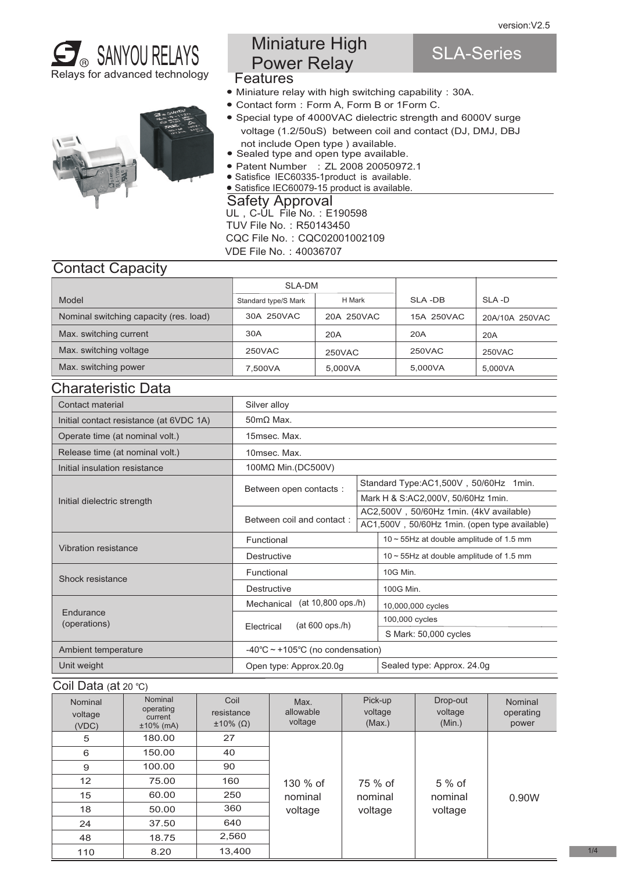SLA-Series





- Features Miniature High Power Relay
- Miniature relay with high switching capability:30A.
- Contact form:Form A, Form B or 1Form C.
- Special type of 4000VAC dielectric strength and 6000V surge voltage (1.2/50uS) between coil and contact (DJ, DMJ, DBJ not include Open type ) available.
- Sealed type and open type available.
- Patent Number : ZL 2008 20050972.1
- Satisfice IEC60335-1product is available.
- UL, C-UL File No.: E190598 TUV File No.: R50143450 Safety Approval ● Satisfice IEC60079-15 product is available.

CQC File No.:CQC02001002109

VDE File No.:40036707

## Contact Capacity

|                                        | SLA-DM               |            |            |                |
|----------------------------------------|----------------------|------------|------------|----------------|
| Model                                  | Standard type/S Mark | H Mark     | SLA-DB     | SLA-D          |
| Nominal switching capacity (res. load) | 30A 250VAC           | 20A 250VAC | 15A 250VAC | 20A/10A 250VAC |
| Max. switching current                 | 30A                  | 20A        | 20A        | 20A            |
| Max. switching voltage                 | 250VAC               | 250VAC     | 250VAC     | 250VAC         |
| Max. switching power                   | 7.500VA              | 5.000VA    | 5,000VA    | 5.000VA        |

## Charateristic Data

| Contact material                        | Silver alloy                                         |  |                                               |  |  |  |
|-----------------------------------------|------------------------------------------------------|--|-----------------------------------------------|--|--|--|
| Initial contact resistance (at 6VDC 1A) | $50 \text{m}\Omega$ Max.                             |  |                                               |  |  |  |
| Operate time (at nominal volt.)         | 15msec. Max.                                         |  |                                               |  |  |  |
| Release time (at nominal volt.)         | 10msec. Max.                                         |  |                                               |  |  |  |
| Initial insulation resistance           | 100MΩ Min.(DC500V)                                   |  |                                               |  |  |  |
|                                         | Between open contacts:                               |  | Standard Type:AC1,500V, 50/60Hz 1min.         |  |  |  |
| Initial dielectric strength             |                                                      |  | Mark H & S:AC2,000V, 50/60Hz 1min.            |  |  |  |
|                                         | Between coil and contact:                            |  | AC2,500V, 50/60Hz 1min. (4kV available)       |  |  |  |
|                                         |                                                      |  | AC1,500V, 50/60Hz 1min. (open type available) |  |  |  |
| Vibration resistance                    | Functional                                           |  | 10~55Hz at double amplitude of 1.5 mm         |  |  |  |
|                                         | <b>Destructive</b>                                   |  | $10 \sim 55$ Hz at double amplitude of 1.5 mm |  |  |  |
| Shock resistance                        | Functional                                           |  | 10G Min.                                      |  |  |  |
|                                         | <b>Destructive</b>                                   |  | 100G Min.                                     |  |  |  |
|                                         | (at 10,800 ops./h)<br>Mechanical                     |  | 10,000,000 cycles                             |  |  |  |
| Endurance                               | $(at 600$ ops./h)<br>Electrical                      |  | 100,000 cycles                                |  |  |  |
| (operations)                            |                                                      |  | S Mark: 50,000 cycles                         |  |  |  |
| Ambient temperature                     | -40 $\degree$ C ~ +105 $\degree$ C (no condensation) |  |                                               |  |  |  |
| Unit weight                             | Open type: Approx.20.0g                              |  | Sealed type: Approx. 24.0g                    |  |  |  |

#### Coil Data (at 20 ℃)

| $\cdots$ = $\cdots$ , $\cdots$ = $\cdots$ |                                                 |                                               |                              |                              |                               |                               |
|-------------------------------------------|-------------------------------------------------|-----------------------------------------------|------------------------------|------------------------------|-------------------------------|-------------------------------|
| Nominal<br>voltage<br>(VDC)               | Nominal<br>operating<br>current<br>$±10\%$ (mA) | Coil<br>resistance<br>$\pm 10\%$ ( $\Omega$ ) | Max.<br>allowable<br>voltage | Pick-up<br>voltage<br>(Max.) | Drop-out<br>voltage<br>(Min.) | Nominal<br>operating<br>power |
| 5                                         | 180.00                                          | 27                                            |                              |                              |                               |                               |
| 6                                         | 150.00                                          | 40                                            |                              |                              |                               |                               |
| 9                                         | 100.00                                          | 90                                            |                              |                              |                               |                               |
| 12                                        | 75.00                                           | 160                                           | 130 % of                     | 75 % of                      | $5%$ of                       |                               |
| 15                                        | 60.00                                           | 250                                           | nominal                      | nominal                      | nominal                       | 0.90W                         |
| 18                                        | 50.00                                           | 360                                           | voltage                      | voltage                      | voltage                       |                               |
| 24                                        | 37.50                                           | 640                                           |                              |                              |                               |                               |
| 48                                        | 18.75                                           | 2,560                                         |                              |                              |                               |                               |
| 110                                       | 8.20                                            | 13.400                                        |                              |                              |                               |                               |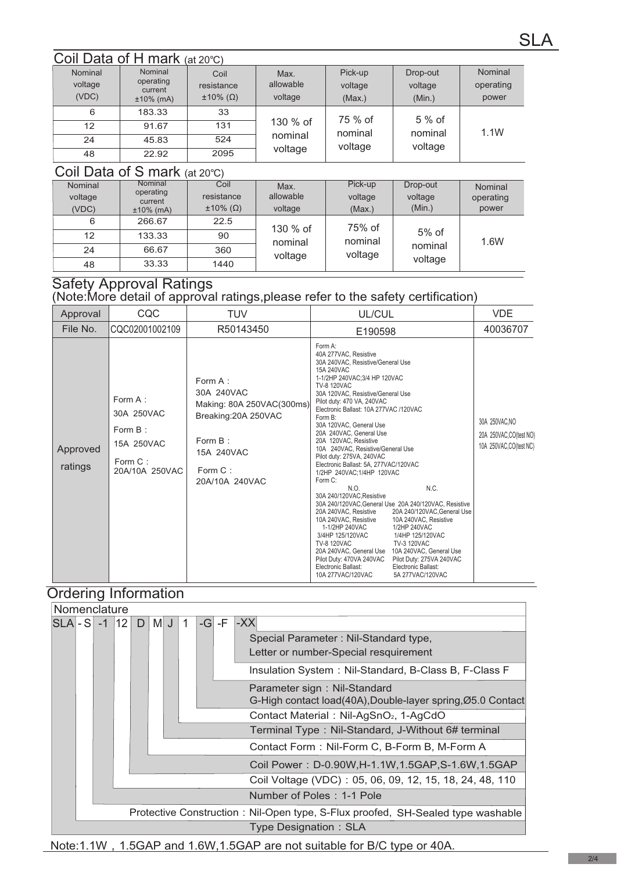## Coil Data of H mark (at 20℃)

| Nominal<br>voltage<br>(VDC)   | Nominal<br>operating<br>current<br>$±10\%$ (mA) | Coil<br>resistance<br>$\pm 10\%$ ( $\Omega$ ) | Max.<br>allowable<br>voltage   | Pick-up<br>voltage<br>(Max.) | Drop-out<br>voltage<br>(Min.) | Nominal<br>operating<br>power |
|-------------------------------|-------------------------------------------------|-----------------------------------------------|--------------------------------|------------------------------|-------------------------------|-------------------------------|
| 6                             | 183.33                                          | 33                                            |                                | 75 % of                      | $5%$ of                       |                               |
| $12 \overline{ }$             | 91.67                                           | 131                                           | 130 % of<br>nominal<br>voltage | nominal<br>voltage           | nominal<br>voltage            | 1.1W                          |
| 24                            | 45.83                                           | 524                                           |                                |                              |                               |                               |
| 48                            | 22.92                                           | 2095                                          |                                |                              |                               |                               |
| Coil Data of S mark (at 20°C) |                                                 |                                               |                                |                              |                               |                               |

| Nominal<br>voltage | Nominal<br>operating    | Coil<br>resistance      | Max.<br>allowable | Pick-up<br>voltage | Drop-out<br>voltage | Nominal<br>operating |
|--------------------|-------------------------|-------------------------|-------------------|--------------------|---------------------|----------------------|
| (VDC)              | current<br>$±10\%$ (mA) | $\pm 10\%$ ( $\Omega$ ) | voltage           | (Max.)             | (Min.)              | power                |
| 6                  | 266.67                  | 22.5                    | 130 % of          | 75% of             |                     |                      |
| 12                 | 133.33                  | 90                      | nominal           | nominal            | $5%$ of             | 1.6W                 |
| 24                 | 66.67                   | 360                     | voltage           | voltage            | nominal             |                      |
| 48                 | 33.33                   | 1440                    |                   |                    | voltage             |                      |

## Safety Approval Ratings

(Note:More detail of approval ratings,please refer to the safety certification)

| Approval            | CQC                                                                               | <b>TUV</b>                                                                                                                          | UL/CUL                                                                                                                                                                                                                                                                                                                                                                                                                                                                                                                                                                                                                                                                                                                                                                            |                                                                                                                                                                                                                                                       | <b>VDE</b>                                                           |
|---------------------|-----------------------------------------------------------------------------------|-------------------------------------------------------------------------------------------------------------------------------------|-----------------------------------------------------------------------------------------------------------------------------------------------------------------------------------------------------------------------------------------------------------------------------------------------------------------------------------------------------------------------------------------------------------------------------------------------------------------------------------------------------------------------------------------------------------------------------------------------------------------------------------------------------------------------------------------------------------------------------------------------------------------------------------|-------------------------------------------------------------------------------------------------------------------------------------------------------------------------------------------------------------------------------------------------------|----------------------------------------------------------------------|
| File No.            | CQC02001002109                                                                    | R50143450                                                                                                                           | E190598                                                                                                                                                                                                                                                                                                                                                                                                                                                                                                                                                                                                                                                                                                                                                                           |                                                                                                                                                                                                                                                       | 40036707                                                             |
| Approved<br>ratings | Form $A$ :<br>30A 250VAC<br>Form $B$ :<br>15A 250VAC<br>Form C:<br>20A/10A 250VAC | Form A:<br>30A 240VAC<br>Making: 80A 250VAC(300ms)<br>Breaking: 20A 250VAC<br>Form $B$ :<br>15A 240VAC<br>Form C:<br>20A/10A 240VAC | Form A:<br>40A 277VAC, Resistive<br>30A 240VAC, Resistive/General Use<br>15A 240VAC<br>1-1/2HP 240VAC;3/4 HP 120VAC<br><b>TV-8 120VAC</b><br>30A 120VAC, Resistive/General Use<br>Pilot duty: 470 VA, 240VAC<br>Electronic Ballast: 10A 277VAC /120VAC<br>Form B:<br>30A 120VAC, General Use<br>20A 240VAC, General Use<br>20A 120VAC, Resistive<br>10A 240VAC, Resistive/General Use<br>Pilot duty: 275VA, 240VAC<br>Electronic Ballast: 5A, 277VAC/120VAC<br>1/2HP 240VAC;1/4HP 120VAC<br>Form C:<br>N.O.<br>30A 240/120VAC, Resistive<br>20A 240VAC, Resistive<br>10A 240VAC, Resistive<br>1-1/2HP 240VAC<br>3/4HP 125/120VAC<br><b>TV-8 120VAC</b><br>20A 240VAC, General Use 10A 240VAC, General Use<br>Pilot Duty: 470VA 240VAC<br>Electronic Ballast:<br>10A 277VAC/120VAC | N.C.<br>30A 240/120VAC, General Use 20A 240/120VAC, Resistive<br>20A 240/120VAC.General Use<br>10A 240VAC. Resistive<br>1/2HP 240VAC<br>1/4HP 125/120VAC<br><b>TV-3 120VAC</b><br>Pilot Duty: 275VA 240VAC<br>Electronic Ballast:<br>5A 277VAC/120VAC | 30A 250VAC, NO<br>20A 250VAC, CO(test NO)<br>10A 250VAC, CO(test NC) |

## Ordering Information



Note:1.1W, 1.5GAP and 1.6W, 1.5GAP are not suitable for B/C type or 40A.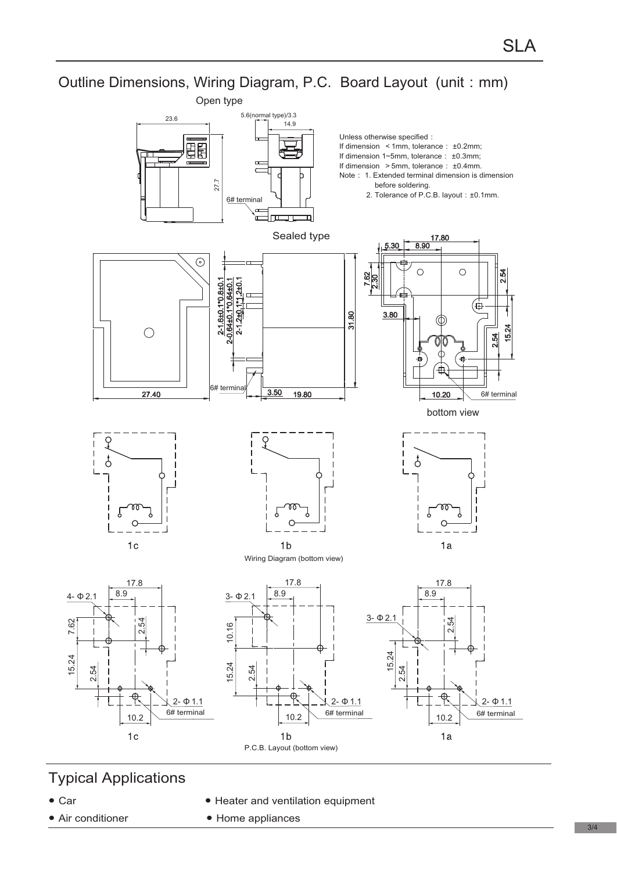Outline Dimensions, Wiring Diagram, P.C. Board Layout (unit: mm)



P.C.B. Layout (bottom view)

# Typical Applications

 $\bullet$  Car

7.62

15.24

- Air conditioner
- Heater and ventilation equipment
- $\bullet$  Home appliances